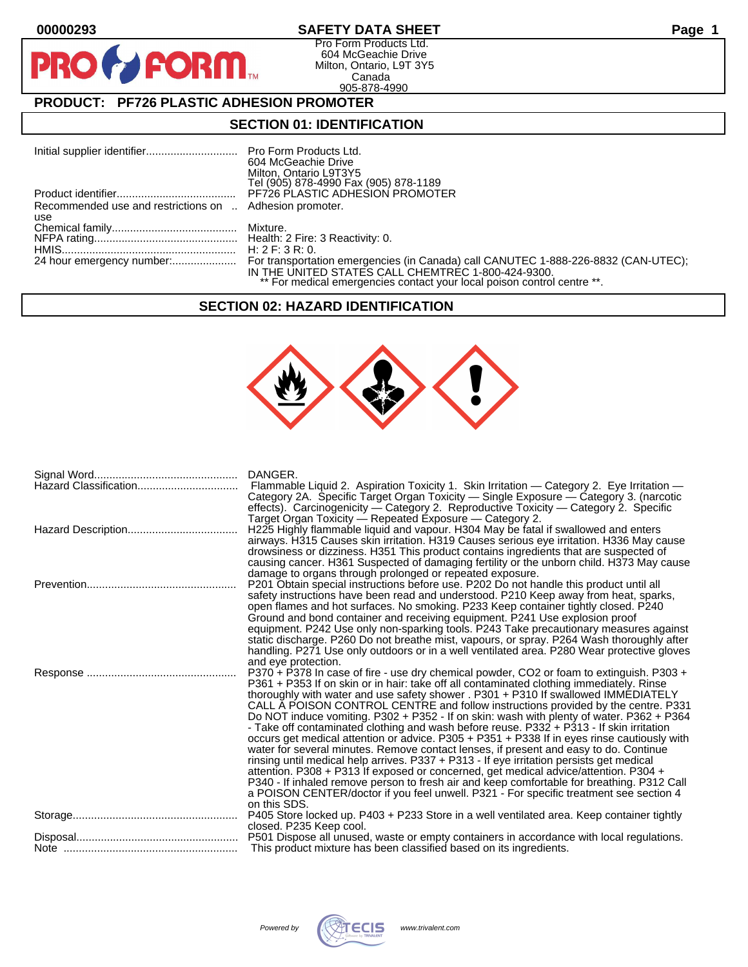$\mathbf O$ 

PR

## **00000293 SAFETY DATA SHEET Page 1**

Pro Form Products Ltd. 604 McGeachie Drive Milton, Ontario, L9T 3Y5 Canada 905-878-4990

# **PRODUCT: PF726 PLASTIC ADHESION PROMOTER**

**FORM** 

### **SECTION 01: IDENTIFICATION**

|                                                         | 604 McGeachie Drive                                                     |
|---------------------------------------------------------|-------------------------------------------------------------------------|
|                                                         | Milton, Ontario L9T3Y5                                                  |
|                                                         | Tel (905) 878-4990 Fax (905) 878-1189                                   |
|                                                         | <b>PF726 PLASTIC ADHESION PROMOTER</b>                                  |
| Recommended use and restrictions on  Adhesion promoter. |                                                                         |
| use                                                     |                                                                         |
|                                                         |                                                                         |
|                                                         |                                                                         |
|                                                         |                                                                         |
|                                                         |                                                                         |
|                                                         | IN THE UNITED STATES CALL CHEMTREC 1-800-424-9300.                      |
|                                                         | ** For medical emergencies contact your local poison control centre **. |

### **SECTION 02: HAZARD IDENTIFICATION**



| DANGER.<br>Flammable Liquid 2. Aspiration Toxicity 1. Skin Irritation — Category 2. Eye Irritation —<br>Category 2A. Specific Target Organ Toxicity — Single Exposure — Category 3. (narcotic<br>effects). Carcinogenicity - Category 2. Reproductive Toxicity - Category 2. Specific                                                                                                                                                                                                                                                                                                                                                                                                                                                                                                                                                                                                                                                                                                                                                                                                                                                       |
|---------------------------------------------------------------------------------------------------------------------------------------------------------------------------------------------------------------------------------------------------------------------------------------------------------------------------------------------------------------------------------------------------------------------------------------------------------------------------------------------------------------------------------------------------------------------------------------------------------------------------------------------------------------------------------------------------------------------------------------------------------------------------------------------------------------------------------------------------------------------------------------------------------------------------------------------------------------------------------------------------------------------------------------------------------------------------------------------------------------------------------------------|
| Target Organ Toxicity - Repeated Exposure - Category 2.<br>H225 Highly flammable liquid and vapour. H304 May be fatal if swallowed and enters<br>airways. H315 Causes skin irritation. H319 Causes serious eye irritation. H336 May cause<br>drowsiness or dizziness. H351 This product contains ingredients that are suspected of<br>causing cancer. H361 Suspected of damaging fertility or the unborn child. H373 May cause                                                                                                                                                                                                                                                                                                                                                                                                                                                                                                                                                                                                                                                                                                              |
| damage to organs through prolonged or repeated exposure.<br>P201 Obtain special instructions before use. P202 Do not handle this product until all<br>safety instructions have been read and understood. P210 Keep away from heat, sparks,<br>open flames and hot surfaces. No smoking. P233 Keep container tightly closed. P240<br>Ground and bond container and receiving equipment. P241 Use explosion proof<br>equipment. P242 Use only non-sparking tools. P243 Take precautionary measures against<br>static discharge. P260 Do not breathe mist, vapours, or spray. P264 Wash thoroughly after<br>handling. P271 Use only outdoors or in a well ventilated area. P280 Wear protective gloves<br>and eye protection.                                                                                                                                                                                                                                                                                                                                                                                                                  |
| P370 + P378 In case of fire - use dry chemical powder, CO2 or foam to extinguish. P303 +<br>P361 + P353 If on skin or in hair: take off all contaminated clothing immediately. Rinse<br>thoroughly with water and use safety shower . P301 + P310 If swallowed IMMEDIATELY<br>CALL A POISON CONTROL CENTRE and follow instructions provided by the centre. P331<br>Do NOT induce vomiting. P302 + P352 - If on skin: wash with plenty of water. P362 + P364<br>- Take off contaminated clothing and wash before reuse. P332 + P313 - If skin irritation<br>occurs get medical attention or advice. P305 + P351 + P338 If in eyes rinse cautiously with<br>water for several minutes. Remove contact lenses, if present and easy to do. Continue<br>rinsing until medical help arrives. P337 + P313 - If eye irritation persists get medical<br>attention. P308 + P313 If exposed or concerned, get medical advice/attention. P304 +<br>P340 - If inhaled remove person to fresh air and keep comfortable for breathing. P312 Call<br>a POISON CENTER/doctor if you feel unwell. P321 - For specific treatment see section 4<br>on this SDS. |
| P405 Store locked up. P403 + P233 Store in a well ventilated area. Keep container tightly<br>closed. P235 Keep cool.                                                                                                                                                                                                                                                                                                                                                                                                                                                                                                                                                                                                                                                                                                                                                                                                                                                                                                                                                                                                                        |
| This product mixture has been classified based on its ingredients.                                                                                                                                                                                                                                                                                                                                                                                                                                                                                                                                                                                                                                                                                                                                                                                                                                                                                                                                                                                                                                                                          |



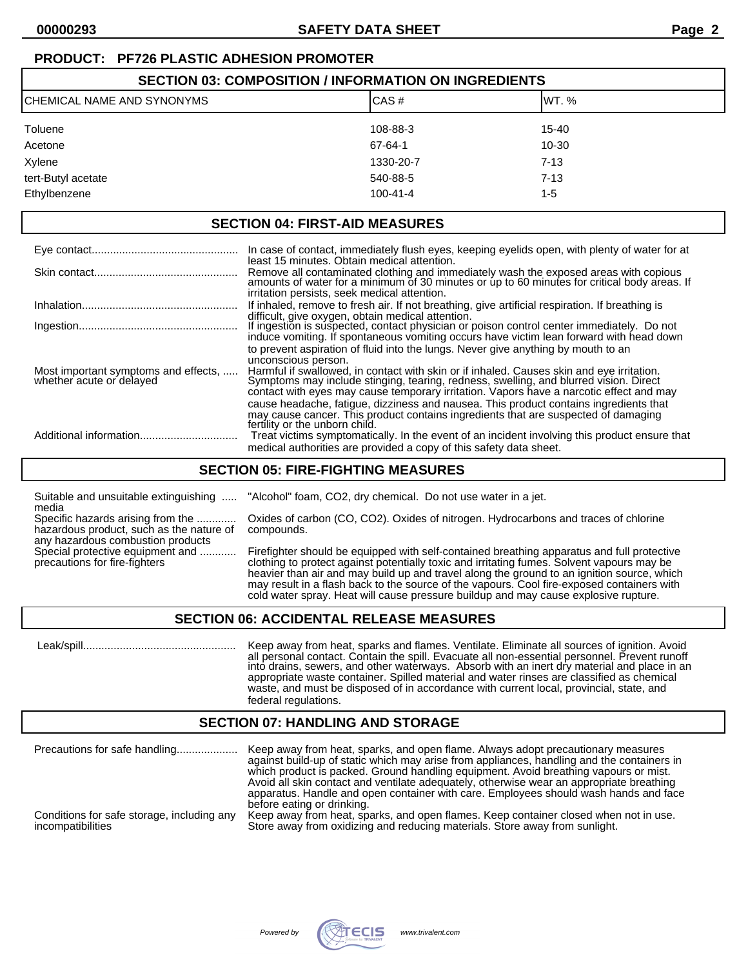# **PRODUCT: PF726 PLASTIC ADHESION PROMOTER**

| <b>SECTION 03: COMPOSITION / INFORMATION ON INGREDIENTS</b> |                |           |  |
|-------------------------------------------------------------|----------------|-----------|--|
| ICHEMICAL NAME AND SYNONYMS                                 | IWT. %         |           |  |
| Toluene                                                     | 108-88-3       | $15 - 40$ |  |
| Acetone                                                     | 67-64-1        | $10 - 30$ |  |
| Xylene                                                      | 1330-20-7      | $7 - 13$  |  |
| tert-Butyl acetate                                          | 540-88-5       | $7 - 13$  |  |
| Ethylbenzene                                                | $100 - 41 - 4$ | 1-5       |  |

### **SECTION 04: FIRST-AID MEASURES**

|                                                                  | In case of contact, immediately flush eyes, keeping eyelids open, with plenty of water for at                                                                                                                                                                                                        |
|------------------------------------------------------------------|------------------------------------------------------------------------------------------------------------------------------------------------------------------------------------------------------------------------------------------------------------------------------------------------------|
|                                                                  | least 15 minutes. Obtain medical attention.<br>Remove all contaminated clothing and immediately wash the exposed areas with copious<br>amounts of water for a minimum of 30 minutes or up to 60 minutes for critical body areas. If<br>irritation persists, seek medical attention.                  |
|                                                                  | If inhaled, remove to fresh air. If not breathing, give artificial respiration. If breathing is                                                                                                                                                                                                      |
|                                                                  | difficult, give oxygen, obtain medical attention.<br>If ingestion is suspected, contact physician or poison control center immediately. Do not<br>induce vomiting. If spontaneous vomiting occurs have victim lean forward with head down                                                            |
|                                                                  | to prevent aspiration of fluid into the lungs. Never give anything by mouth to an                                                                                                                                                                                                                    |
| Most important symptoms and effects,<br>whether acute or delayed | unconscious person.<br>Harmful if swallowed, in contact with skin or if inhaled. Causes skin and eye irritation.<br>Symptoms may include stinging, tearing, redness, swelling, and blurred vision. Direct<br>contact with eyes may cause temporary irritation. Vapors have a narcotic effect and may |
|                                                                  | cause headache, fatique, dizziness and nausea. This product contains ingredients that<br>may cause cancer. This product contains ingredients that are suspected of damaging                                                                                                                          |
|                                                                  | fertility or the unborn child.<br>Treat victims symptomatically. In the event of an incident involving this product ensure that                                                                                                                                                                      |
|                                                                  | medical authorities are provided a copy of this safety data sheet.                                                                                                                                                                                                                                   |

### **SECTION 05: FIRE-FIGHTING MEASURES**

Suitable and unsuitable extinguishing ..... "Alcohol" foam, CO2, dry chemical. Do not use water in a jet. media

hazardous product, such as the nature of compounds. any hazardous combustion products<br>Special protective equipment and ............

Specific hazards arising from the ............. Oxides of carbon (CO, CO2). Oxides of nitrogen. Hydrocarbons and traces of chlorine

Firefighter should be equipped with self-contained breathing apparatus and full protective precautions for fire-fighters clothing to protect against potentially toxic and irritating fumes. Solvent vapours may be heavier than air and may build up and travel along the ground to an ignition source, which may result in a flash back to the source of the vapours. Cool fire-exposed containers with cold water spray. Heat will cause pressure buildup and may cause explosive rupture.

### **SECTION 06: ACCIDENTAL RELEASE MEASURES**

 Leak/spill.................................................. Keep away from heat, sparks and flames. Ventilate. Eliminate all sources of ignition. Avoid all personal contact. Contain the spill. Evacuate all non-essential personnel. Prevent runoff into drains, sewers, and other waterways. Absorb with an inert dry material and place in an appropriate waste container. Spilled material and water rinses are classified as chemical waste, and must be disposed of in accordance with current local, provincial, state, and federal regulations.

### **SECTION 07: HANDLING AND STORAGE**

| Precautions for safe handling              | Keep away from heat, sparks, and open flame. Always adopt precautionary measures<br>against build-up of static which may arise from appliances, handling and the containers in<br>which product is packed. Ground handling equipment. Avoid breathing vapours or mist.<br>Avoid all skin contact and ventilate adequately, otherwise wear an appropriate breathing<br>apparatus. Handle and open container with care. Employees should wash hands and face<br>before eating or drinking. |
|--------------------------------------------|------------------------------------------------------------------------------------------------------------------------------------------------------------------------------------------------------------------------------------------------------------------------------------------------------------------------------------------------------------------------------------------------------------------------------------------------------------------------------------------|
| Conditions for safe storage, including any | Keep away from heat, sparks, and open flames. Keep container closed when not in use.                                                                                                                                                                                                                                                                                                                                                                                                     |
| incompatibilities                          | Store away from oxidizing and reducing materials. Store away from sunlight.                                                                                                                                                                                                                                                                                                                                                                                                              |

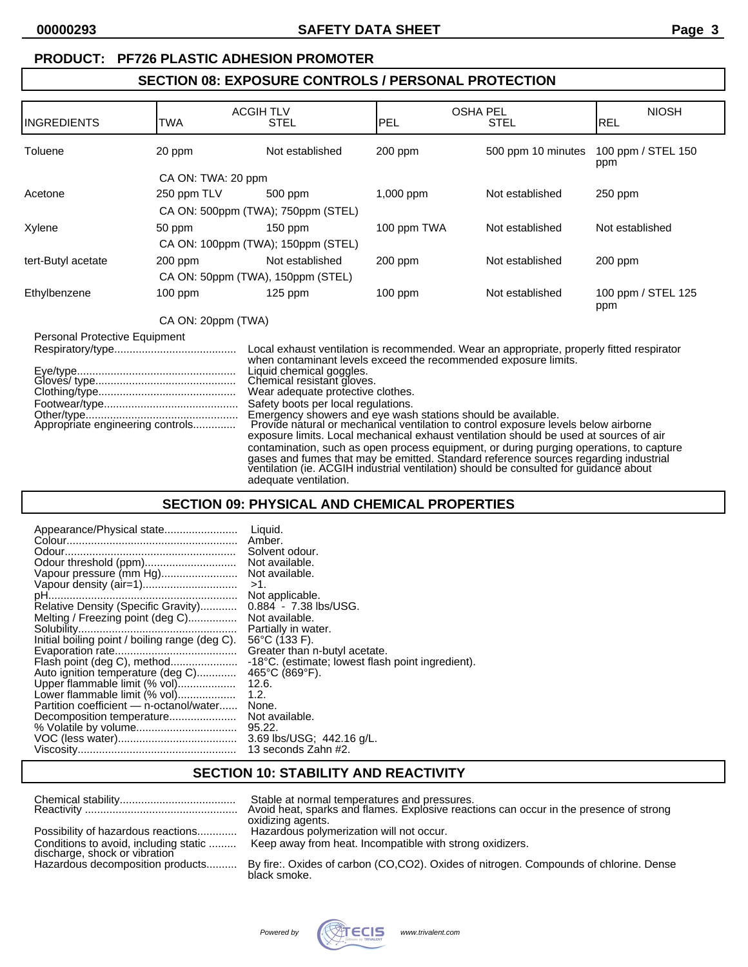### **PRODUCT: PF726 PLASTIC ADHESION PROMOTER**

## **SECTION 08: EXPOSURE CONTROLS / PERSONAL PROTECTION**

| IINGREDIENTS                  | TWA                              | <b>ACGIH TLV</b><br><b>STEL</b>                                                                                                                                                                                                                                       | <b>PEL</b>  | <b>OSHA PEL</b><br><b>STEL</b>                                                                                                                                                                                                                                                                                                                                                                                                                                                                                                                         | <b>NIOSH</b><br><b>REL</b> |
|-------------------------------|----------------------------------|-----------------------------------------------------------------------------------------------------------------------------------------------------------------------------------------------------------------------------------------------------------------------|-------------|--------------------------------------------------------------------------------------------------------------------------------------------------------------------------------------------------------------------------------------------------------------------------------------------------------------------------------------------------------------------------------------------------------------------------------------------------------------------------------------------------------------------------------------------------------|----------------------------|
| Toluene                       | 20 ppm                           | Not established                                                                                                                                                                                                                                                       | $200$ ppm   | 500 ppm 10 minutes                                                                                                                                                                                                                                                                                                                                                                                                                                                                                                                                     | 100 ppm / STEL 150<br>ppm  |
|                               | CA ON: TWA: 20 ppm               |                                                                                                                                                                                                                                                                       |             |                                                                                                                                                                                                                                                                                                                                                                                                                                                                                                                                                        |                            |
| Acetone                       | 250 ppm TLV                      | 500 ppm                                                                                                                                                                                                                                                               | $1,000$ ppm | Not established                                                                                                                                                                                                                                                                                                                                                                                                                                                                                                                                        | $250$ ppm                  |
|                               |                                  | CA ON: 500ppm (TWA); 750ppm (STEL)                                                                                                                                                                                                                                    |             |                                                                                                                                                                                                                                                                                                                                                                                                                                                                                                                                                        |                            |
| Xylene                        | 50 ppm                           | $150$ ppm                                                                                                                                                                                                                                                             | 100 ppm TWA | Not established                                                                                                                                                                                                                                                                                                                                                                                                                                                                                                                                        | Not established            |
|                               |                                  | CA ON: 100ppm (TWA); 150ppm (STEL)                                                                                                                                                                                                                                    |             |                                                                                                                                                                                                                                                                                                                                                                                                                                                                                                                                                        |                            |
| tert-Butyl acetate            | 200 ppm                          | Not established                                                                                                                                                                                                                                                       | 200 ppm     | Not established                                                                                                                                                                                                                                                                                                                                                                                                                                                                                                                                        | 200 ppm                    |
|                               |                                  | CA ON: 50ppm (TWA), 150ppm (STEL)                                                                                                                                                                                                                                     |             |                                                                                                                                                                                                                                                                                                                                                                                                                                                                                                                                                        |                            |
| Ethylbenzene                  | 100 ppm                          | $125$ ppm                                                                                                                                                                                                                                                             | $100$ ppm   | Not established                                                                                                                                                                                                                                                                                                                                                                                                                                                                                                                                        | 100 ppm / STEL 125<br>ppm  |
|                               | CA ON: 20ppm (TWA)               |                                                                                                                                                                                                                                                                       |             |                                                                                                                                                                                                                                                                                                                                                                                                                                                                                                                                                        |                            |
| Personal Protective Equipment | Appropriate engineering controls | when contaminant levels exceed the recommended exposure limits.<br>Liquid chemical goggles.<br>Chemical resistant gloves.<br>Wear adequate protective clothes.<br>Safety boots per local regulations.<br>Emergency showers and eye wash stations should be available. |             | Local exhaust ventilation is recommended. Wear an appropriate, properly fitted respirator<br>Provide nátural or mechanical ventilation to control exposure levels below airborne<br>exposure limits. Local mechanical exhaust ventilation should be used at sources of air<br>contamination, such as open process equipment, or during purging operations, to capture<br>gases and fumes that may be emitted. Standard reference sources regarding industrial<br>ventilation (ie. ACGIH industrial ventilation) should be consulted for guidance about |                            |

### **SECTION 09: PHYSICAL AND CHEMICAL PROPERTIES**

adequate ventilation.

| Appearance/Physical state                      | Liquid.                                           |
|------------------------------------------------|---------------------------------------------------|
|                                                | Amber.                                            |
|                                                | Solvent odour.                                    |
|                                                | Not available.                                    |
| Vapour pressure (mm Hg)                        | Not available.                                    |
|                                                | $>1$ .                                            |
|                                                | Not applicable.                                   |
| Relative Density (Specific Gravity)            | $0.884 - 7.38$ lbs/USG.                           |
| Melting / Freezing point (deg C)               | Not available.                                    |
|                                                | Partially in water.                               |
| Initial boiling point / boiling range (deg C). | $56^{\circ}$ C (133 F).                           |
|                                                | Greater than n-butyl acetate.                     |
| Flash point (deg C), method                    | -18°C. (estimate; lowest flash point ingredient). |
| Auto ignition temperature (deg C)              | $465^{\circ}$ C (869 $^{\circ}$ F).               |
| Upper flammable limit (% vol)                  | 12.6.                                             |
| Lower flammable limit (% vol)                  | 1.2.                                              |
| Partition coefficient — n-octanol/water        | None.                                             |
| Decomposition temperature                      | Not available.                                    |
|                                                | 95.22.                                            |
|                                                | 3.69 lbs/USG; 442.16 g/L.                         |
|                                                | 13 seconds Zahn #2.                               |

# **SECTION 10: STABILITY AND REACTIVITY**

|                                                                                                            | Stable at normal temperatures and pressures.<br>Avoid heat, sparks and flames. Explosive reactions can occur in the presence of strong<br>oxidizing agents. |
|------------------------------------------------------------------------------------------------------------|-------------------------------------------------------------------------------------------------------------------------------------------------------------|
| Possibility of hazardous reactions                                                                         | Hazardous polymerization will not occur.<br>Keep away from heat. Incompatible with strong oxidizers.                                                        |
| Conditions to avoid, including static<br>discharge, shock or vibration<br>Hazardous decomposition products | By fire: Oxides of carbon (CO,CO2). Oxides of nitrogen. Compounds of chlorine. Dense                                                                        |
|                                                                                                            | black smoke.                                                                                                                                                |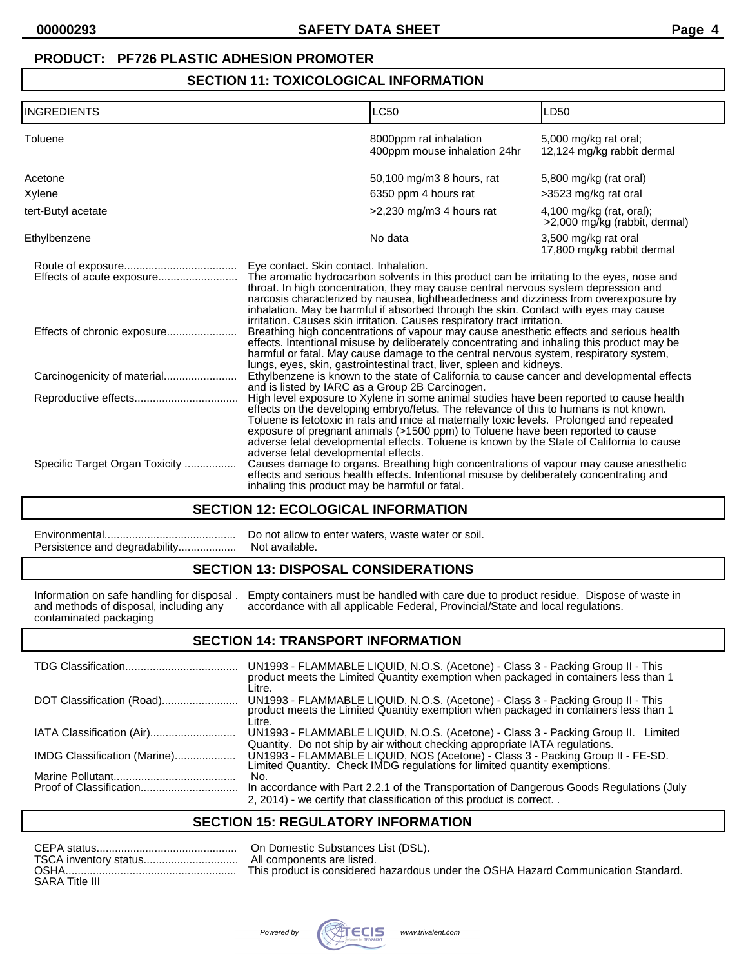## **PRODUCT: PF726 PLASTIC ADHESION PROMOTER**

## **SECTION 11: TOXICOLOGICAL INFORMATION**

| INGREDIENTS                    | <b>LC50</b>                                                                                                                                                                                                                                                                                                                                                                                                                                                                                                                                             | LD50                                                        |  |
|--------------------------------|---------------------------------------------------------------------------------------------------------------------------------------------------------------------------------------------------------------------------------------------------------------------------------------------------------------------------------------------------------------------------------------------------------------------------------------------------------------------------------------------------------------------------------------------------------|-------------------------------------------------------------|--|
| Toluene                        | 8000ppm rat inhalation<br>400ppm mouse inhalation 24hr                                                                                                                                                                                                                                                                                                                                                                                                                                                                                                  | 5,000 mg/kg rat oral;<br>12,124 mg/kg rabbit dermal         |  |
| Acetone                        | 50,100 mg/m3 8 hours, rat                                                                                                                                                                                                                                                                                                                                                                                                                                                                                                                               | 5,800 mg/kg (rat oral)                                      |  |
| Xylene                         | 6350 ppm 4 hours rat                                                                                                                                                                                                                                                                                                                                                                                                                                                                                                                                    | >3523 mg/kg rat oral                                        |  |
| tert-Butyl acetate             | $>2,230$ mg/m3 4 hours rat                                                                                                                                                                                                                                                                                                                                                                                                                                                                                                                              | $4,100$ mg/kg (rat, oral);<br>>2,000 mg/kg (rabbit, dermal) |  |
| Ethylbenzene                   | No data                                                                                                                                                                                                                                                                                                                                                                                                                                                                                                                                                 | 3,500 mg/kg rat oral<br>17,800 mg/kg rabbit dermal          |  |
| Effects of acute exposure      | Eye contact. Skin contact. Inhalation.<br>The aromatic hydrocarbon solvents in this product can be irritating to the eyes, nose and<br>throat. In high concentration, they may cause central nervous system depression and<br>narcosis characterized by nausea, lightheadedness and dizziness from overexposure by                                                                                                                                                                                                                                      |                                                             |  |
|                                | inhalation. May be harmful if absorbed through the skin. Contact with eyes may cause<br>irritation. Causes skin irritation. Causes respiratory tract irritation.<br>Breathing high concentrations of vapour may cause anesthetic effects and serious health<br>effects. Intentional misuse by deliberately concentrating and inhaling this product may be<br>harmful or fatal. May cause damage to the central nervous system, respiratory system,                                                                                                      |                                                             |  |
|                                | lungs, eyes, skin, gastrointestinal tract, liver, spleen and kidneys.<br>Ethylbenzene is known to the state of California to cause cancer and developmental effects                                                                                                                                                                                                                                                                                                                                                                                     |                                                             |  |
|                                | and is listed by IARC as a Group 2B Carcinogen.<br>High level exposure to Xylene in some animal studies have been reported to cause health<br>effects on the developing embryo/fetus. The relevance of this to humans is not known.<br>Toluene is fetotoxic in rats and mice at maternally toxic levels. Prolonged and repeated<br>exposure of pregnant animals (>1500 ppm) to Toluene have been reported to cause<br>adverse fetal developmental effects. Toluene is known by the State of California to cause<br>adverse fetal developmental effects. |                                                             |  |
| Specific Target Organ Toxicity | Causes damage to organs. Breathing high concentrations of vapour may cause anesthetic<br>effects and serious health effects. Intentional misuse by deliberately concentrating and<br>inhaling this product may be harmful or fatal.                                                                                                                                                                                                                                                                                                                     |                                                             |  |

### **SECTION 12: ECOLOGICAL INFORMATION**

## **SECTION 13: DISPOSAL CONSIDERATIONS**

|                                        | Information on safe handling for disposal. Empty containers must be handled with care due to product residue. Dispose of waste in |
|----------------------------------------|-----------------------------------------------------------------------------------------------------------------------------------|
| and methods of disposal, including any | accordance with all applicable Federal, Provincial/State and local regulations.                                                   |
| contaminated packaging                 |                                                                                                                                   |

## **SECTION 14: TRANSPORT INFORMATION**

|                              | UN1993 - FLAMMABLE LIQUID, N.O.S. (Acetone) - Class 3 - Packing Group II - This<br>product meets the Limited Quantity exemption when packaged in containers less than 1<br>Litre. |
|------------------------------|-----------------------------------------------------------------------------------------------------------------------------------------------------------------------------------|
| DOT Classification (Road)    | UN1993 - FLAMMABLE LIQUID, N.O.S. (Acetone) - Class 3 - Packing Group II - This product meets the Limited Quantity exemption when packaged in containers less than 1<br>Litre.    |
|                              | UN1993 - FLAMMABLE LIQUID, N.O.S. (Acetone) - Class 3 - Packing Group II. Limited<br>Quantity. Do not ship by air without checking appropriate IATA regulations.                  |
| IMDG Classification (Marine) | UN1993 - FLAMMABLE LIQUID, NOS (Acetone) - Class 3 - Packing Group II - FE-SD.<br>Limited Quantity. Check IMDG regulations for limited quantity exemptions.                       |
|                              | No.                                                                                                                                                                               |
|                              | In accordance with Part 2.2.1 of the Transportation of Dangerous Goods Regulations (July                                                                                          |
|                              | 2, 2014) - we certify that classification of this product is correct                                                                                                              |

## **SECTION 15: REGULATORY INFORMATION**

| <b>OSHA</b>           | This product is considered hazardous under the OSHA Hazard Communication Standard. |
|-----------------------|------------------------------------------------------------------------------------|
| <b>SARA Title III</b> |                                                                                    |